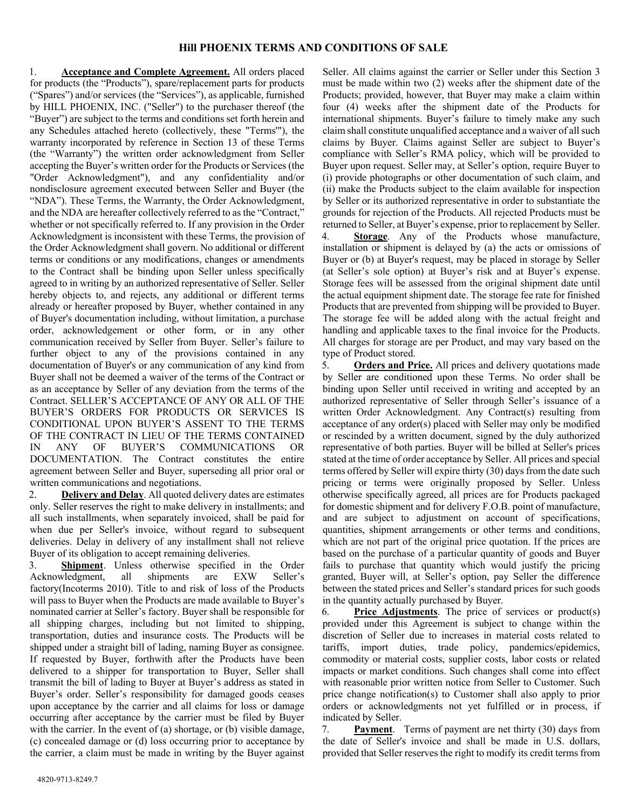## **Hill PHOENIX TERMS AND CONDITIONS OF SALE**

1. **Acceptance and Complete Agreement.** All orders placed for products (the "Products"), spare/replacement parts for products ("Spares") and/or services (the "Services"), as applicable, furnished by HILL PHOENIX, INC. ("Seller") to the purchaser thereof (the "Buyer") are subject to the terms and conditions set forth herein and any Schedules attached hereto (collectively, these "Terms'"), the warranty incorporated by reference in Section 13 of these Terms (the "Warranty") the written order acknowledgment from Seller accepting the Buyer's written order for the Products or Services (the "Order Acknowledgment"), and any confidentiality and/or nondisclosure agreement executed between Seller and Buyer (the "NDA"). These Terms, the Warranty, the Order Acknowledgment, and the NDA are hereafter collectively referred to as the "Contract," whether or not specifically referred to. If any provision in the Order Acknowledgment is inconsistent with these Terms, the provision of the Order Acknowledgment shall govern. No additional or different terms or conditions or any modifications, changes or amendments to the Contract shall be binding upon Seller unless specifically agreed to in writing by an authorized representative of Seller. Seller hereby objects to, and rejects, any additional or different terms already or hereafter proposed by Buyer, whether contained in any of Buyer's documentation including, without limitation, a purchase order, acknowledgement or other form, or in any other communication received by Seller from Buyer. Seller's failure to further object to any of the provisions contained in any documentation of Buyer's or any communication of any kind from Buyer shall not be deemed a waiver of the terms of the Contract or as an acceptance by Seller of any deviation from the terms of the Contract. SELLER'S ACCEPTANCE OF ANY OR ALL OF THE BUYER'S ORDERS FOR PRODUCTS OR SERVICES IS CONDITIONAL UPON BUYER'S ASSENT TO THE TERMS OF THE CONTRACT IN LIEU OF THE TERMS CONTAINED IN ANY OF BUYER'S COMMUNICATIONS OR DOCUMENTATION. The Contract constitutes the entire agreement between Seller and Buyer, superseding all prior oral or written communications and negotiations.

2. **Delivery and Delay**. All quoted delivery dates are estimates only. Seller reserves the right to make delivery in installments; and all such installments, when separately invoiced, shall be paid for when due per Seller's invoice, without regard to subsequent deliveries. Delay in delivery of any installment shall not relieve Buyer of its obligation to accept remaining deliveries.

3. **Shipment**. Unless otherwise specified in the Order Acknowledgment, all shipments are EXW Seller's factory(Incoterms 2010). Title to and risk of loss of the Products will pass to Buyer when the Products are made available to Buyer's nominated carrier at Seller's factory. Buyer shall be responsible for all shipping charges, including but not limited to shipping, transportation, duties and insurance costs. The Products will be shipped under a straight bill of lading, naming Buyer as consignee. If requested by Buyer, forthwith after the Products have been delivered to a shipper for transportation to Buyer, Seller shall transmit the bill of lading to Buyer at Buyer's address as stated in Buyer's order. Seller's responsibility for damaged goods ceases upon acceptance by the carrier and all claims for loss or damage occurring after acceptance by the carrier must be filed by Buyer with the carrier. In the event of (a) shortage, or (b) visible damage, (c) concealed damage or (d) loss occurring prior to acceptance by the carrier, a claim must be made in writing by the Buyer against

Seller. All claims against the carrier or Seller under this Section 3 must be made within two (2) weeks after the shipment date of the Products; provided, however, that Buyer may make a claim within four (4) weeks after the shipment date of the Products for international shipments. Buyer's failure to timely make any such claim shall constitute unqualified acceptance and a waiver of all such claims by Buyer. Claims against Seller are subject to Buyer's compliance with Seller's RMA policy, which will be provided to Buyer upon request. Seller may, at Seller's option, require Buyer to (i) provide photographs or other documentation of such claim, and (ii) make the Products subject to the claim available for inspection by Seller or its authorized representative in order to substantiate the grounds for rejection of the Products. All rejected Products must be returned to Seller, at Buyer's expense, prior to replacement by Seller.

4. **Storage**. Any of the Products whose manufacture, installation or shipment is delayed by (a) the acts or omissions of Buyer or (b) at Buyer's request, may be placed in storage by Seller (at Seller's sole option) at Buyer's risk and at Buyer's expense. Storage fees will be assessed from the original shipment date until the actual equipment shipment date. The storage fee rate for finished Products that are prevented from shipping will be provided to Buyer. The storage fee will be added along with the actual freight and handling and applicable taxes to the final invoice for the Products. All charges for storage are per Product, and may vary based on the type of Product stored.

5. **Orders and Price.** All prices and delivery quotations made by Seller are conditioned upon these Terms. No order shall be binding upon Seller until received in writing and accepted by an authorized representative of Seller through Seller's issuance of a written Order Acknowledgment. Any Contract(s) resulting from acceptance of any order(s) placed with Seller may only be modified or rescinded by a written document, signed by the duly authorized representative of both parties. Buyer will be billed at Seller's prices stated at the time of order acceptance by Seller. All prices and special terms offered by Seller will expire thirty (30) days from the date such pricing or terms were originally proposed by Seller. Unless otherwise specifically agreed, all prices are for Products packaged for domestic shipment and for delivery F.O.B. point of manufacture, and are subject to adjustment on account of specifications, quantities, shipment arrangements or other terms and conditions, which are not part of the original price quotation. If the prices are based on the purchase of a particular quantity of goods and Buyer fails to purchase that quantity which would justify the pricing granted, Buyer will, at Seller's option, pay Seller the difference between the stated prices and Seller's standard prices for such goods in the quantity actually purchased by Buyer.

6. **Price Adjustments**. The price of services or product(s) provided under this Agreement is subject to change within the discretion of Seller due to increases in material costs related to tariffs, import duties, trade policy, pandemics/epidemics, commodity or material costs, supplier costs, labor costs or related impacts or market conditions. Such changes shall come into effect with reasonable prior written notice from Seller to Customer. Such price change notification(s) to Customer shall also apply to prior orders or acknowledgments not yet fulfilled or in process, if indicated by Seller.

7. **Payment**. Terms of payment are net thirty (30) days from the date of Seller's invoice and shall be made in U.S. dollars, provided that Seller reserves the right to modify its credit terms from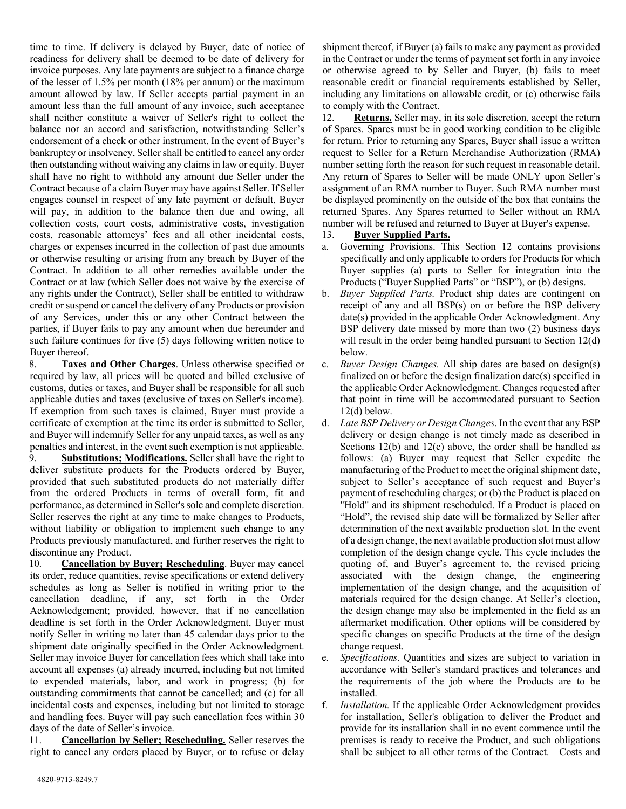time to time. If delivery is delayed by Buyer, date of notice of readiness for delivery shall be deemed to be date of delivery for invoice purposes. Any late payments are subject to a finance charge of the lesser of 1.5% per month (18% per annum) or the maximum amount allowed by law. If Seller accepts partial payment in an amount less than the full amount of any invoice, such acceptance shall neither constitute a waiver of Seller's right to collect the balance nor an accord and satisfaction, notwithstanding Seller's endorsement of a check or other instrument. In the event of Buyer's bankruptcy or insolvency, Seller shall be entitled to cancel any order then outstanding without waiving any claims in law or equity. Buyer shall have no right to withhold any amount due Seller under the Contract because of a claim Buyer may have against Seller. If Seller engages counsel in respect of any late payment or default, Buyer will pay, in addition to the balance then due and owing, all collection costs, court costs, administrative costs, investigation costs, reasonable attorneys' fees and all other incidental costs, charges or expenses incurred in the collection of past due amounts or otherwise resulting or arising from any breach by Buyer of the Contract. In addition to all other remedies available under the Contract or at law (which Seller does not waive by the exercise of any rights under the Contract), Seller shall be entitled to withdraw credit or suspend or cancel the delivery of any Products or provision of any Services, under this or any other Contract between the parties, if Buyer fails to pay any amount when due hereunder and such failure continues for five (5) days following written notice to Buyer thereof.

8. **Taxes and Other Charges**. Unless otherwise specified or required by law, all prices will be quoted and billed exclusive of customs, duties or taxes, and Buyer shall be responsible for all such applicable duties and taxes (exclusive of taxes on Seller's income). If exemption from such taxes is claimed, Buyer must provide a certificate of exemption at the time its order is submitted to Seller, and Buyer will indemnify Seller for any unpaid taxes, as well as any penalties and interest, in the event such exemption is not applicable. 9. **Substitutions; Modifications.** Seller shall have the right to deliver substitute products for the Products ordered by Buyer,

provided that such substituted products do not materially differ from the ordered Products in terms of overall form, fit and performance, as determined in Seller's sole and complete discretion. Seller reserves the right at any time to make changes to Products, without liability or obligation to implement such change to any Products previously manufactured, and further reserves the right to discontinue any Product.

10. **Cancellation by Buyer; Rescheduling**. Buyer may cancel its order, reduce quantities, revise specifications or extend delivery schedules as long as Seller is notified in writing prior to the cancellation deadline, if any, set forth in the Order Acknowledgement; provided, however, that if no cancellation deadline is set forth in the Order Acknowledgment, Buyer must notify Seller in writing no later than 45 calendar days prior to the shipment date originally specified in the Order Acknowledgment. Seller may invoice Buyer for cancellation fees which shall take into account all expenses (a) already incurred, including but not limited to expended materials, labor, and work in progress; (b) for outstanding commitments that cannot be cancelled; and (c) for all incidental costs and expenses, including but not limited to storage and handling fees. Buyer will pay such cancellation fees within 30 days of the date of Seller's invoice.

11. **Cancellation by Seller; Rescheduling.** Seller reserves the right to cancel any orders placed by Buyer, or to refuse or delay

shipment thereof, if Buyer (a) fails to make any payment as provided in the Contract or under the terms of payment set forth in any invoice or otherwise agreed to by Seller and Buyer, (b) fails to meet reasonable credit or financial requirements established by Seller, including any limitations on allowable credit, or (c) otherwise fails to comply with the Contract.

12. **Returns.** Seller may, in its sole discretion, accept the return of Spares. Spares must be in good working condition to be eligible for return. Prior to returning any Spares, Buyer shall issue a written request to Seller for a Return Merchandise Authorization (RMA) number setting forth the reason for such request in reasonable detail. Any return of Spares to Seller will be made ONLY upon Seller's assignment of an RMA number to Buyer. Such RMA number must be displayed prominently on the outside of the box that contains the returned Spares. Any Spares returned to Seller without an RMA number will be refused and returned to Buyer at Buyer's expense.

## 13. **Buyer Supplied Parts.**

- a. Governing Provisions. This Section 12 contains provisions specifically and only applicable to orders for Products for which Buyer supplies (a) parts to Seller for integration into the Products ("Buyer Supplied Parts" or "BSP"), or (b) designs.
- b. *Buyer Supplied Parts.* Product ship dates are contingent on receipt of any and all BSP(s) on or before the BSP delivery date(s) provided in the applicable Order Acknowledgment. Any BSP delivery date missed by more than two (2) business days will result in the order being handled pursuant to Section 12(d) below.
- c. *Buyer Design Changes.* All ship dates are based on design(s) finalized on or before the design finalization date(s) specified in the applicable Order Acknowledgment. Changes requested after that point in time will be accommodated pursuant to Section  $12(d)$  below.
- d. *Late BSP Delivery or Design Changes*. In the event that any BSP delivery or design change is not timely made as described in Sections 12(b) and 12(c) above, the order shall be handled as follows: (a) Buyer may request that Seller expedite the manufacturing of the Product to meet the original shipment date, subject to Seller's acceptance of such request and Buyer's payment of rescheduling charges; or (b) the Product is placed on "Hold" and its shipment rescheduled. If a Product is placed on "Hold", the revised ship date will be formalized by Seller after determination of the next available production slot. In the event of a design change, the next available production slot must allow completion of the design change cycle. This cycle includes the quoting of, and Buyer's agreement to, the revised pricing associated with the design change, the engineering implementation of the design change, and the acquisition of materials required for the design change. At Seller's election, the design change may also be implemented in the field as an aftermarket modification. Other options will be considered by specific changes on specific Products at the time of the design change request.
- e. *Specifications.* Quantities and sizes are subject to variation in accordance with Seller's standard practices and tolerances and the requirements of the job where the Products are to be installed.
- f. *Installation.* If the applicable Order Acknowledgment provides for installation, Seller's obligation to deliver the Product and provide for its installation shall in no event commence until the premises is ready to receive the Product, and such obligations shall be subject to all other terms of the Contract. Costs and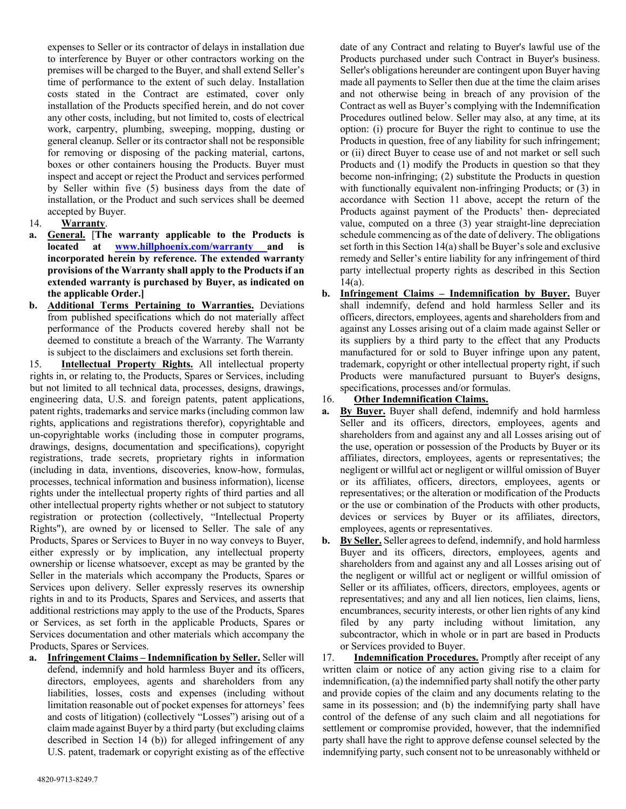expenses to Seller or its contractor of delays in installation due to interference by Buyer or other contractors working on the premises will be charged to the Buyer, and shall extend Seller's time of performance to the extent of such delay. Installation costs stated in the Contract are estimated, cover only installation of the Products specified herein, and do not cover any other costs, including, but not limited to, costs of electrical work, carpentry, plumbing, sweeping, mopping, dusting or general cleanup. Seller or its contractor shall not be responsible for removing or disposing of the packing material, cartons, boxes or other containers housing the Products. Buyer must inspect and accept or reject the Product and services performed by Seller within five (5) business days from the date of installation, or the Product and such services shall be deemed accepted by Buyer.

- 14. **Warranty**.
- **a. General.** [**The warranty applicable to the Products is located at www.hillphoenix.com/warranty and is incorporated herein by reference. The extended warranty provisions of the Warranty shall apply to the Products if an extended warranty is purchased by Buyer, as indicated on the applicable Order.]**
- **b. Additional Terms Pertaining to Warranties.** Deviations from published specifications which do not materially affect performance of the Products covered hereby shall not be deemed to constitute a breach of the Warranty. The Warranty is subject to the disclaimers and exclusions set forth therein.

15. **Intellectual Property Rights.** All intellectual property rights in, or relating to, the Products, Spares or Services, including but not limited to all technical data, processes, designs, drawings, engineering data, U.S. and foreign patents, patent applications, patent rights, trademarks and service marks (including common law rights, applications and registrations therefor), copyrightable and un-copyrightable works (including those in computer programs, drawings, designs, documentation and specifications), copyright registrations, trade secrets, proprietary rights in information (including in data, inventions, discoveries, know-how, formulas, processes, technical information and business information), license rights under the intellectual property rights of third parties and all other intellectual property rights whether or not subject to statutory registration or protection (collectively, "Intellectual Property Rights"), are owned by or licensed to Seller. The sale of any Products, Spares or Services to Buyer in no way conveys to Buyer, either expressly or by implication, any intellectual property ownership or license whatsoever, except as may be granted by the Seller in the materials which accompany the Products, Spares or Services upon delivery. Seller expressly reserves its ownership rights in and to its Products, Spares and Services, and asserts that additional restrictions may apply to the use of the Products, Spares or Services, as set forth in the applicable Products, Spares or Services documentation and other materials which accompany the Products, Spares or Services.

**a. Infringement Claims – Indemnification by Seller.** Seller will defend, indemnify and hold harmless Buyer and its officers, directors, employees, agents and shareholders from any liabilities, losses, costs and expenses (including without limitation reasonable out of pocket expenses for attorneys' fees and costs of litigation) (collectively "Losses") arising out of a claim made against Buyer by a third party (but excluding claims described in Section 14 (b)) for alleged infringement of any U.S. patent, trademark or copyright existing as of the effective

date of any Contract and relating to Buyer's lawful use of the Products purchased under such Contract in Buyer's business. Seller's obligations hereunder are contingent upon Buyer having made all payments to Seller then due at the time the claim arises and not otherwise being in breach of any provision of the Contract as well as Buyer's complying with the Indemnification Procedures outlined below. Seller may also, at any time, at its option: (i) procure for Buyer the right to continue to use the Products in question, free of any liability for such infringement; or (ii) direct Buyer to cease use of and not market or sell such Products and (1) modify the Products in question so that they become non-infringing; (2) substitute the Products in question with functionally equivalent non-infringing Products; or  $(3)$  in accordance with Section 11 above, accept the return of the Products against payment of the Products' then- depreciated value, computed on a three (3) year straight-line depreciation schedule commencing as of the date of delivery. The obligations set forth in this Section 14(a) shall be Buyer's sole and exclusive remedy and Seller's entire liability for any infringement of third party intellectual property rights as described in this Section  $14(a)$ .

- **b. Infringement Claims – Indemnification by Buyer.** Buyer shall indemnify, defend and hold harmless Seller and its officers, directors, employees, agents and shareholders from and against any Losses arising out of a claim made against Seller or its suppliers by a third party to the effect that any Products manufactured for or sold to Buyer infringe upon any patent, trademark, copyright or other intellectual property right, if such Products were manufactured pursuant to Buyer's designs, specifications, processes and/or formulas.
- 16. **Other Indemnification Claims.**
- **a. By Buyer.** Buyer shall defend, indemnify and hold harmless Seller and its officers, directors, employees, agents and shareholders from and against any and all Losses arising out of the use, operation or possession of the Products by Buyer or its affiliates, directors, employees, agents or representatives; the negligent or willful act or negligent or willful omission of Buyer or its affiliates, officers, directors, employees, agents or representatives; or the alteration or modification of the Products or the use or combination of the Products with other products, devices or services by Buyer or its affiliates, directors, employees, agents or representatives.
- **b. By Seller.** Seller agrees to defend, indemnify, and hold harmless Buyer and its officers, directors, employees, agents and shareholders from and against any and all Losses arising out of the negligent or willful act or negligent or willful omission of Seller or its affiliates, officers, directors, employees, agents or representatives; and any and all lien notices, lien claims, liens, encumbrances, security interests, or other lien rights of any kind filed by any party including without limitation, any subcontractor, which in whole or in part are based in Products or Services provided to Buyer.

17. **Indemnification Procedures.** Promptly after receipt of any written claim or notice of any action giving rise to a claim for indemnification, (a) the indemnified party shall notify the other party and provide copies of the claim and any documents relating to the same in its possession; and (b) the indemnifying party shall have control of the defense of any such claim and all negotiations for settlement or compromise provided, however, that the indemnified party shall have the right to approve defense counsel selected by the indemnifying party, such consent not to be unreasonably withheld or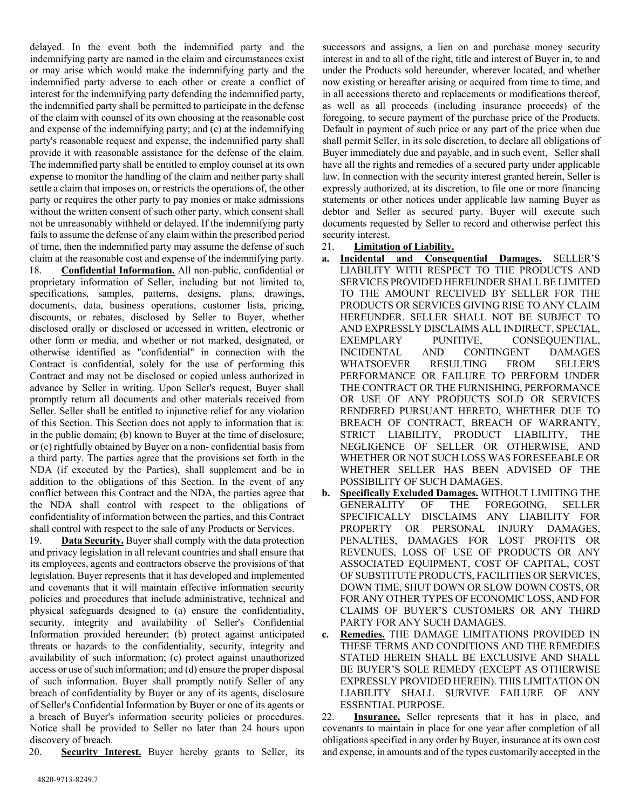delayed. In the event both the indemnified party and the indemnifying party are named in the claim and circumstances exist or may arise which would make the indemnifying party and the indemnified party adverse to each other or create a conflict of interest for the indemnifying party defending the indemnified party, the indemnified party shall be permitted to participate in the defense of the claim with counsel of its own choosing at the reasonable cost and expense of the indemnifying party; and (c) at the indemnifying party's reasonable request and expense, the indemnified party shall provide it with reasonable assistance for the defense of the claim. The indemnified party shall be entitled to employ counsel at its own expense to monitor the handling of the claim and neither party shall settle a claim that imposes on, or restricts the operations of, the other party or requires the other party to pay monies or make admissions without the written consent of such other party, which consent shall not be unreasonably withheld or delayed. If the indemnifying party fails to assume the defense of any claim within the prescribed period of time, then the indemnified party may assume the defense of such claim at the reasonable cost and expense of the indemnifying party. 18. **Confidential Information.** All non-public, confidential or proprietary information of Seller, including but not limited to, specifications, samples, patterns, designs, plans, drawings, documents, data, business operations, customer lists, pricing, discounts, or rebates, disclosed by Seller to Buyer, whether disclosed orally or disclosed or accessed in written, electronic or other form or media, and whether or not marked, designated, or otherwise identified as "confidential" in connection with the Contract is confidential, solely for the use of performing this Contract and may not be disclosed or copied unless authorized in advance by Seller in writing. Upon Seller's request, Buyer shall promptly return all documents and other materials received from Seller. Seller shall be entitled to injunctive relief for any violation of this Section. This Section does not apply to information that is: in the public domain; (b) known to Buyer at the time of disclosure; or (c) rightfully obtained by Buyer on a non- confidential basis from a third party. The parties agree that the provisions set forth in the NDA (if executed by the Parties), shall supplement and be in addition to the obligations of this Section. In the event of any conflict between this Contract and the NDA, the parties agree that the NDA shall control with respect to the obligations of confidentiality of information between the parties, and this Contract shall control with respect to the sale of any Products or Services.

19. **Data Security.** Buyer shall comply with the data protection and privacy legislation in all relevant countries and shall ensure that its employees, agents and contractors observe the provisions of that legislation. Buyer represents that it has developed and implemented and covenants that it will maintain effective information security policies and procedures that include administrative, technical and physical safeguards designed to (a) ensure the confidentiality, security, integrity and availability of Seller's Confidential Information provided hereunder; (b) protect against anticipated threats or hazards to the confidentiality, security, integrity and availability of such information; (c) protect against unauthorized access or use of such information; and (d) ensure the proper disposal of such information. Buyer shall promptly notify Seller of any breach of confidentiality by Buyer or any of its agents, disclosure of Seller's Confidential Information by Buyer or one of its agents or a breach of Buyer's information security policies or procedures. Notice shall be provided to Seller no later than 24 hours upon discovery of breach.

20. **Security Interest.** Buyer hereby grants to Seller, its

successors and assigns, a lien on and purchase money security interest in and to all of the right, title and interest of Buyer in, to and under the Products sold hereunder, wherever located, and whether now existing or hereafter arising or acquired from time to time, and in all accessions thereto and replacements or modifications thereof, as well as all proceeds (including insurance proceeds) of the foregoing, to secure payment of the purchase price of the Products. Default in payment of such price or any part of the price when due shall permit Seller, in its sole discretion, to declare all obligations of Buyer immediately due and payable, and in such event, Seller shall have all the rights and remedies of a secured party under applicable law. In connection with the security interest granted herein, Seller is expressly authorized, at its discretion, to file one or more financing statements or other notices under applicable law naming Buyer as debtor and Seller as secured party. Buyer will execute such documents requested by Seller to record and otherwise perfect this security interest.

- 21. **Limitation of Liability.**
- **a. Incidental and Consequential Damages.** SELLER'S LIABILITY WITH RESPECT TO THE PRODUCTS AND SERVICES PROVIDED HEREUNDER SHALL BE LIMITED TO THE AMOUNT RECEIVED BY SELLER FOR THE PRODUCTS OR SERVICES GIVING RISE TO ANY CLAIM HEREUNDER. SELLER SHALL NOT BE SUBJECT TO AND EXPRESSLY DISCLAIMS ALL INDIRECT, SPECIAL, EXEMPLARY PUNITIVE, CONSEQUENTIAL, INCIDENTAL AND CONTINGENT DAMAGES WHATSOEVER RESULTING FROM SELLER'S PERFORMANCE OR FAILURE TO PERFORM UNDER THE CONTRACT OR THE FURNISHING, PERFORMANCE OR USE OF ANY PRODUCTS SOLD OR SERVICES RENDERED PURSUANT HERETO, WHETHER DUE TO BREACH OF CONTRACT, BREACH OF WARRANTY, STRICT LIABILITY, PRODUCT LIABILITY, THE NEGLIGENCE OF SELLER OR OTHERWISE, AND WHETHER OR NOT SUCH LOSS WAS FORESEEABLE OR WHETHER SELLER HAS BEEN ADVISED OF THE POSSIBILITY OF SUCH DAMAGES.
- **b. Specifically Excluded Damages.** WITHOUT LIMITING THE GENERALITY OF THE FOREGOING, SELLER SPECIFICALLY DISCLAIMS ANY LIABILITY FOR PROPERTY OR PERSONAL INJURY DAMAGES, PENALTIES, DAMAGES FOR LOST PROFITS OR REVENUES, LOSS OF USE OF PRODUCTS OR ANY ASSOCIATED EQUIPMENT, COST OF CAPITAL, COST OF SUBSTITUTE PRODUCTS, FACILITIES OR SERVICES, DOWN TIME, SHUT DOWN OR SLOW DOWN COSTS, OR FOR ANY OTHER TYPES OF ECONOMIC LOSS, AND FOR CLAIMS OF BUYER'S CUSTOMERS OR ANY THIRD PARTY FOR ANY SUCH DAMAGES.
- **c. Remedies.** THE DAMAGE LIMITATIONS PROVIDED IN THESE TERMS AND CONDITIONS AND THE REMEDIES STATED HEREIN SHALL BE EXCLUSIVE AND SHALL BE BUYER'S SOLE REMEDY (EXCEPT AS OTHERWISE EXPRESSLY PROVIDED HEREIN). THIS LIMITATION ON LIABILITY SHALL SURVIVE FAILURE OF ANY ESSENTIAL PURPOSE.

22. **Insurance.** Seller represents that it has in place, and covenants to maintain in place for one year after completion of all obligations specified in any order by Buyer, insurance at its own cost and expense, in amounts and of the types customarily accepted in the